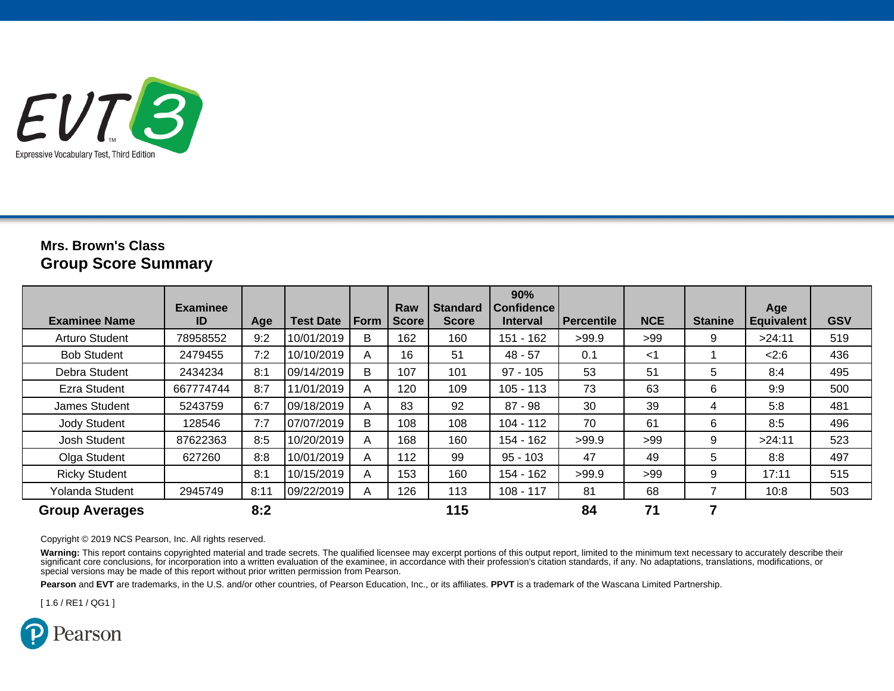

## **Mrs. Brown's ClassGroup Score Summary**

| <b>Examinee Name</b>  | <b>Examinee</b><br>ID | Age  | <b>Test Date</b> | Form | Raw<br><b>Score</b> | <b>Standard</b><br><b>Score</b> | 90%<br><b>Confidence</b><br><b>Interval</b> | Percentile | <b>NCE</b> | <b>Stanine</b> | Age<br><b>Equivalent</b> | <b>GSV</b> |
|-----------------------|-----------------------|------|------------------|------|---------------------|---------------------------------|---------------------------------------------|------------|------------|----------------|--------------------------|------------|
| Arturo Student        | 78958552              | 9:2  | 10/01/2019       | В    | 162                 | 160                             | 151 - 162                                   | >99.9      | >99        | 9              | >24:11                   | 519        |
| <b>Bob Student</b>    | 2479455               | 7:2  | 10/10/2019       | A    | 16                  | 51                              | $48 - 57$                                   | 0.1        | $<$ 1      |                | 2:6                      | 436        |
| Debra Student         | 2434234               | 8:1  | 09/14/2019       | B    | 107                 | 101                             | $97 - 105$                                  | 53         | 51         | 5              | 8:4                      | 495        |
| Ezra Student          | 667774744             | 8:7  | 11/01/2019       | A    | 120                 | 109                             | $105 - 113$                                 | 73         | 63         | 6              | 9:9                      | 500        |
| James Student         | 5243759               | 6:7  | 109/18/2019      | A    | 83                  | 92                              | $87 - 98$                                   | 30         | 39         | 4              | 5:8                      | 481        |
| <b>Jody Student</b>   | 128546                | 7:7  | 07/07/2019       | B    | 108                 | 108                             | $104 - 112$                                 | 70         | 61         | 6              | 8:5                      | 496        |
| Josh Student          | 87622363              | 8:5  | 10/20/2019       | A    | 168                 | 160                             | 154 - 162                                   | >99.9      | >99        | 9              | >24:11                   | 523        |
| Olga Student          | 627260                | 8:8  | 10/01/2019       | A    | 112                 | 99                              | $95 - 103$                                  | 47         | 49         | 5              | 8:8                      | 497        |
| <b>Ricky Student</b>  |                       | 8:1  | 10/15/2019       | A    | 153                 | 160                             | 154 - 162                                   | >99.9      | >99        | 9              | 17:11                    | 515        |
| Yolanda Student       | 2945749               | 8:11 | 09/22/2019       | A    | 126                 | 113                             | $108 - 117$                                 | 81         | 68         |                | 10:8                     | 503        |
| <b>Group Averages</b> |                       | 8:2  |                  |      |                     | 115                             |                                             | 84         | 71         | 7              |                          |            |

#### Copyright © 2019 NCS Pearson, Inc. All rights reserved.

Warning: This report contains copyrighted material and trade secrets. The qualified licensee may excerpt portions of this output report, limited to the minimum text necessary to accurately describe their significant core conclusions, for incorporation into a written evaluation of the examinee, in accordance with their profession's citation standards, if any. No adaptations, translations, modifications, or special versions may be made of this report without prior written permission from Pearson.

**Pearson** and **EVT** are trademarks, in the U.S. and/or other countries, of Pearson Education, Inc., or its affiliates. **PPVT** is a trademark of the Wascana Limited Partnership.

[ 1.6 / RE1 / QG1 ]

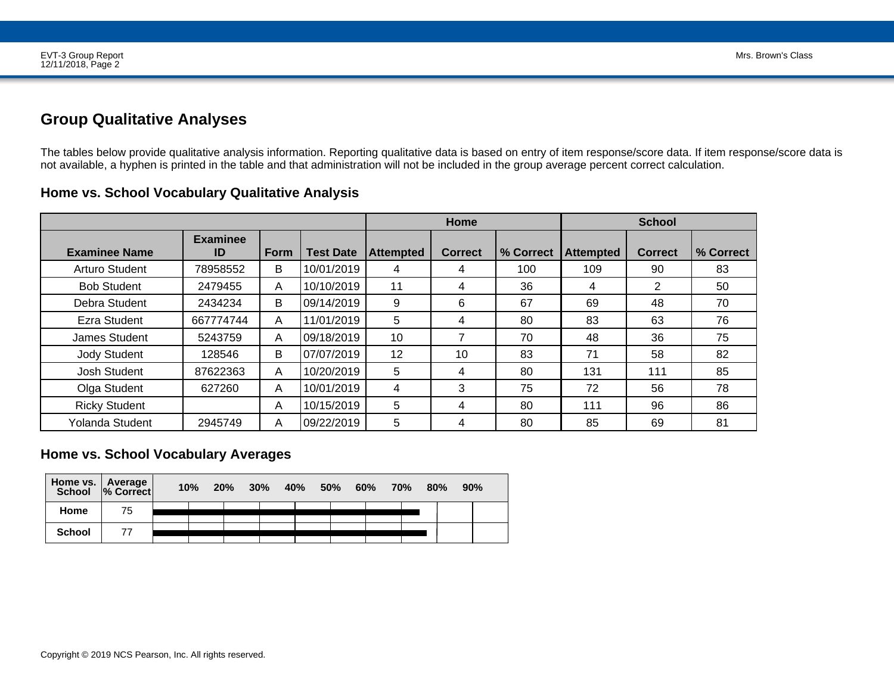## **Group Qualitative Analyses**

The tables below provide qualitative analysis information. Reporting qualitative data is based on entry of item response/score data. If item response/score data is<br>not available, a hyphen is printed in the table and that a

|                        |                       |      |                  |                  | <b>Home</b>    |           | <b>School</b>    |                |           |  |
|------------------------|-----------------------|------|------------------|------------------|----------------|-----------|------------------|----------------|-----------|--|
| <b>Examinee Name</b>   | <b>Examinee</b><br>ID | Form | <b>Test Date</b> | <b>Attempted</b> | <b>Correct</b> | % Correct | <b>Attempted</b> | <b>Correct</b> | % Correct |  |
| Arturo Student         | 78958552              | B    | 10/01/2019       | 4                | 4              | 100       | 109              | 90             | 83        |  |
| <b>Bob Student</b>     | 2479455               | A    | 10/10/2019       | 11               | 4              | 36        | 4                | 2              | 50        |  |
| Debra Student          | 2434234               | B    | 09/14/2019       | 9                | 6              | 67        | 69               | 48             | 70        |  |
| Ezra Student           | 667774744             | A    | 11/01/2019       | 5                | 4              | 80        | 83               | 63             | 76        |  |
| James Student          | 5243759               | A    | 09/18/2019       | 10               | 7              | 70        | 48               | 36             | 75        |  |
| <b>Jody Student</b>    | 128546                | B    | 07/07/2019       | 12               | 10             | 83        | 71               | 58             | 82        |  |
| Josh Student           | 87622363              | A    | 10/20/2019       | 5                | 4              | 80        | 131              | 111            | 85        |  |
| Olga Student           | 627260                | A    | 10/01/2019       | 4                | 3              | 75        | 72               | 56             | 78        |  |
| <b>Ricky Student</b>   |                       | A    | 10/15/2019       | 5                | 4              | 80        | 111              | 96             | 86        |  |
| <b>Yolanda Student</b> | 2945749               | A    | 09/22/2019       | 5                | 4              | 80        | 85               | 69             | 81        |  |

### **Home vs. School Vocabulary Qualitative Analysis**

### **Home vs. School Vocabulary Averages**

| Home vs.   Average | School  % Correct | 10% | 20% | $30\%$ | 40% | <b>50%</b> | 60% | <b>70%</b> | 80% | 90% |  |
|--------------------|-------------------|-----|-----|--------|-----|------------|-----|------------|-----|-----|--|
| Home               | 75                |     |     |        |     |            |     |            |     |     |  |
| <b>School</b>      |                   |     |     |        |     |            |     |            |     |     |  |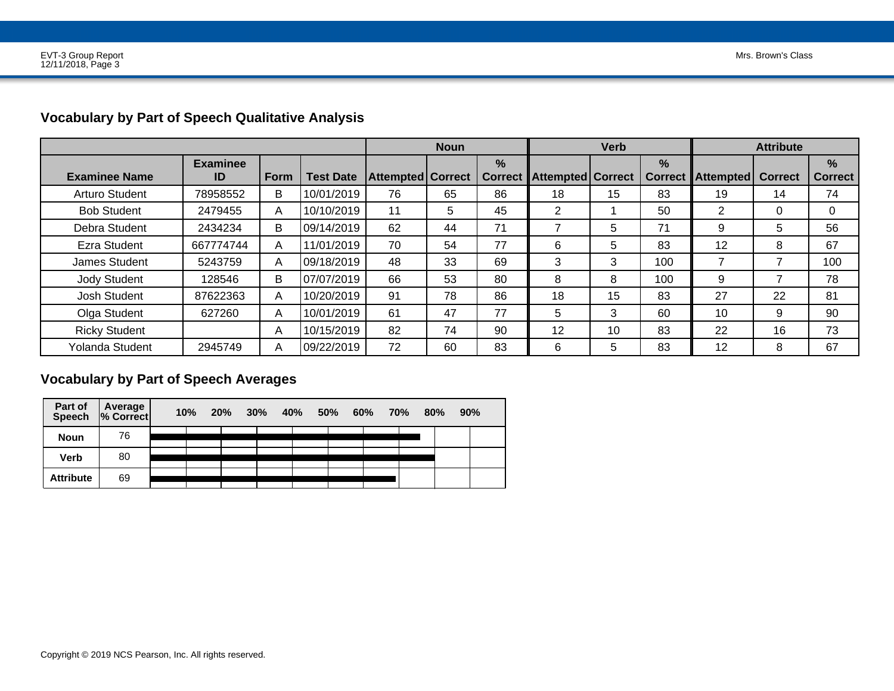# **Vocabulary by Part of Speech Qualitative Analysis**

|                       |                       |      |                  | <b>Noun</b>              |    | <b>Verb</b>                     |                     |    | <b>Attribute</b>                |           |                |                                 |
|-----------------------|-----------------------|------|------------------|--------------------------|----|---------------------------------|---------------------|----|---------------------------------|-----------|----------------|---------------------------------|
| <b>Examinee Name</b>  | <b>Examinee</b><br>ID | Form | <b>Test Date</b> | <b>Attempted Correct</b> |    | $\frac{0}{0}$<br><b>Correct</b> | Attempted   Correct |    | $\frac{9}{6}$<br><b>Correct</b> | Attempted | <b>Correct</b> | $\frac{9}{6}$<br><b>Correct</b> |
| <b>Arturo Student</b> | 78958552              | В    | 10/01/2019       | 76                       | 65 | 86                              | 18                  | 15 | 83                              | 19        | 14             | 74                              |
| <b>Bob Student</b>    | 2479455               | A    | 10/10/2019       | 11                       | 5  | 45                              | 2                   |    | 50                              | 2         | $\Omega$       | 0                               |
| Debra Student         | 2434234               | B    | 09/14/2019       | 62                       | 44 | 71                              |                     | 5  | 71                              | 9         | 5              | 56                              |
| Ezra Student          | 667774744             | A    | 11/01/2019       | 70                       | 54 | 77                              | 6                   | 5  | 83                              | 12        | 8              | 67                              |
| James Student         | 5243759               | A    | 09/18/2019       | 48                       | 33 | 69                              | 3                   | 3  | 100                             | 7         |                | 100                             |
| <b>Jody Student</b>   | 128546                | B    | 07/07/2019       | 66                       | 53 | 80                              | 8                   | 8  | 100                             | 9         |                | 78                              |
| Josh Student          | 87622363              | A    | 10/20/2019       | 91                       | 78 | 86                              | 18                  | 15 | 83                              | 27        | 22             | 81                              |
| Olga Student          | 627260                | A    | 10/01/2019       | 61                       | 47 | 77                              | 5                   | 3  | 60                              | 10        | 9              | 90                              |
| <b>Ricky Student</b>  |                       | A    | 10/15/2019       | 82                       | 74 | 90                              | 12                  | 10 | 83                              | 22        | 16             | 73                              |
| Yolanda Student       | 2945749               | A    | 09/22/2019       | 72                       | 60 | 83                              | 6                   | 5  | 83                              | 12        | 8              | 67                              |

## **Vocabulary by Part of Speech Averages**

| Part of<br><b>Speech</b> | Average  <br>% Correct | 10% | 20% | 30% | <b>40%</b> | 50% | 60% | 70% | 80% | 90% |
|--------------------------|------------------------|-----|-----|-----|------------|-----|-----|-----|-----|-----|
| <b>Noun</b>              | 76                     |     |     |     |            |     |     |     |     |     |
| <b>Verb</b>              | 80                     |     |     |     |            |     |     |     |     |     |
| <b>Attribute</b>         | 69                     |     |     |     |            |     |     |     |     |     |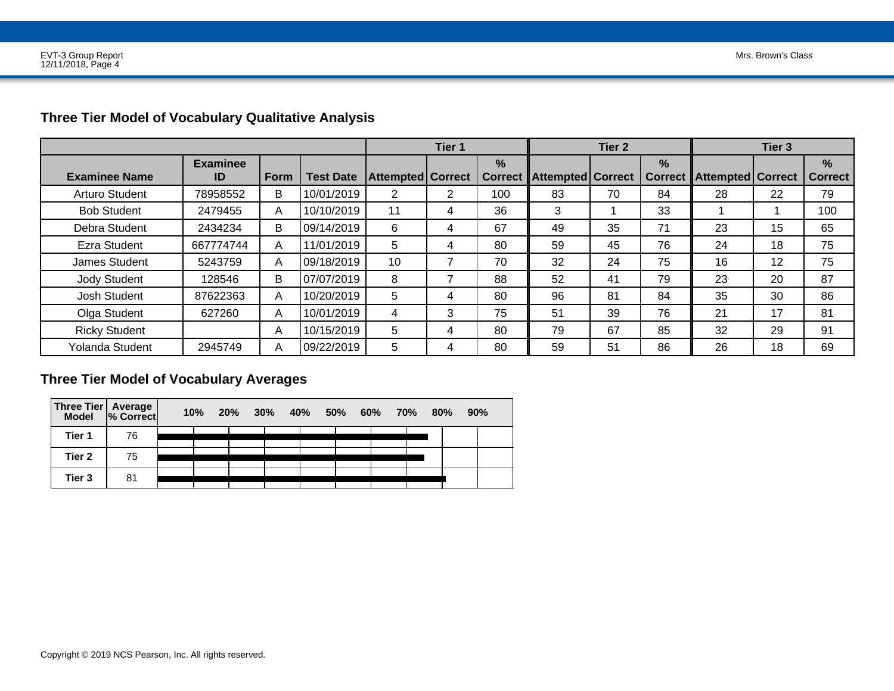|                        |                       |      |                  |                            | Tier 1 |                                 | Tier <sub>2</sub>          |    |                        | Tier <sub>3</sub>          |    |                        |
|------------------------|-----------------------|------|------------------|----------------------------|--------|---------------------------------|----------------------------|----|------------------------|----------------------------|----|------------------------|
| <b>Examinee Name</b>   | <b>Examinee</b><br>ID | Form | <b>Test Date</b> | <b>Attempted   Correct</b> |        | $\frac{9}{6}$<br><b>Correct</b> | <b>Attempted   Correct</b> |    | $\%$<br><b>Correct</b> | <b>Attempted   Correct</b> |    | $\%$<br><b>Correct</b> |
| Arturo Student         | 78958552              | B    | 10/01/2019       | 2                          | 2      | 100                             | 83                         | 70 | 84                     | 28                         | 22 | 79                     |
| <b>Bob Student</b>     | 2479455               | A    | 10/10/2019       | 11                         | 4      | 36                              | 3                          |    | 33                     |                            |    | 100                    |
| Debra Student          | 2434234               | B    | 09/14/2019       | 6                          | 4      | 67                              | 49                         | 35 | 71                     | 23                         | 15 | 65                     |
| Ezra Student           | 667774744             | A    | 11/01/2019       | 5                          | 4      | 80                              | 59                         | 45 | 76                     | 24                         | 18 | 75                     |
| James Student          | 5243759               | A    | 09/18/2019       | 10                         | ⇁      | 70                              | 32                         | 24 | 75                     | 16                         | 12 | 75                     |
| <b>Jody Student</b>    | 128546                | В    | 07/07/2019       | 8                          | ⇁      | 88                              | 52                         | 41 | 79                     | 23                         | 20 | 87                     |
| Josh Student           | 87622363              | A    | 10/20/2019       | 5                          | 4      | 80                              | 96                         | 81 | 84                     | 35                         | 30 | 86                     |
| Olga Student           | 627260                | A    | 10/01/2019       | $\overline{4}$             | 3      | 75                              | 51                         | 39 | 76                     | 21                         | 17 | 81                     |
| <b>Ricky Student</b>   |                       | A    | 10/15/2019       | 5                          | 4      | 80                              | 79                         | 67 | 85                     | 32                         | 29 | 91                     |
| <b>Yolanda Student</b> | 2945749               | A    | 09/22/2019       | 5                          | 4      | 80                              | 59                         | 51 | 86                     | 26                         | 18 | 69                     |

# **Three Tier Model of Vocabulary Qualitative Analysis**

## **Three Tier Model of Vocabulary Averages**

| Three Tier   Average  <br>  Model   % Correct |    | $10\%$ | 20%<br>30% | 40% | 50% | 60% | 70% | 80% | 90% |
|-----------------------------------------------|----|--------|------------|-----|-----|-----|-----|-----|-----|
| Tier 1                                        | 76 |        |            |     |     |     |     |     |     |
| Tier 2                                        | 75 |        |            |     |     |     |     |     |     |
| Tier 3                                        | 81 |        |            |     |     |     |     |     |     |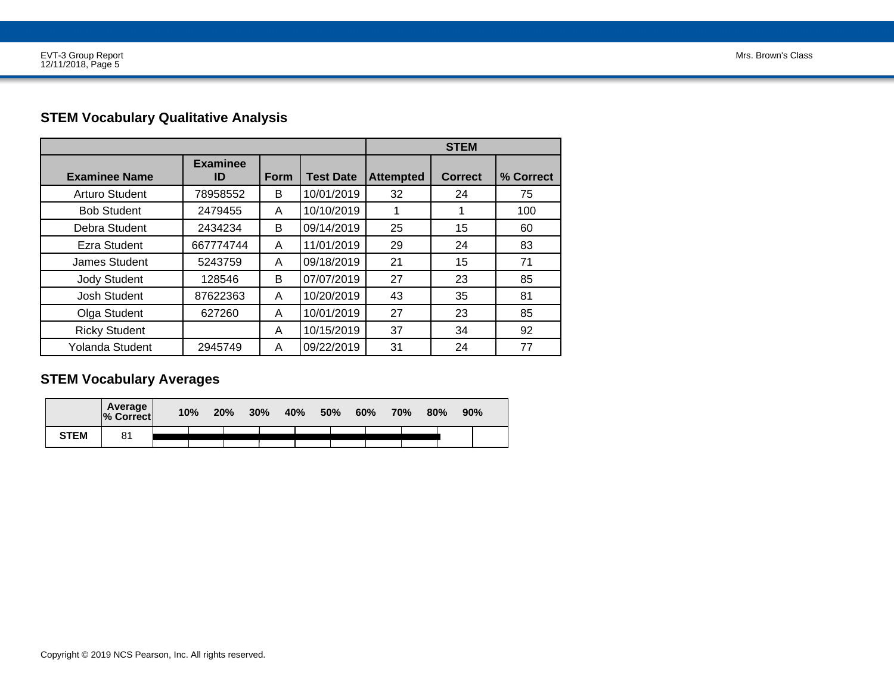# **STEM Vocabulary Qualitative Analysis**

|                       |                       |      | <b>STEM</b>      |                  |                |           |  |
|-----------------------|-----------------------|------|------------------|------------------|----------------|-----------|--|
| <b>Examinee Name</b>  | <b>Examinee</b><br>ID | Form | <b>Test Date</b> | <b>Attempted</b> | <b>Correct</b> | % Correct |  |
| <b>Arturo Student</b> | 78958552              | B    | 10/01/2019       | 32               | 24             | 75        |  |
| <b>Bob Student</b>    | 2479455               | A    | 10/10/2019       |                  |                | 100       |  |
| Debra Student         | 2434234               | B    | 09/14/2019       | 25               | 15             | 60        |  |
| Ezra Student          | 667774744             | A    | 11/01/2019       | 29               | 24             | 83        |  |
| James Student         | 5243759               | A    | 09/18/2019       | 21               | 15             | 71        |  |
| <b>Jody Student</b>   | 128546                | B    | 07/07/2019       | 27               | 23             | 85        |  |
| <b>Josh Student</b>   | 87622363              | A    | 10/20/2019       | 43               | 35             | 81        |  |
| Olga Student          | 627260                | A    | 10/01/2019       | 27               | 23             | 85        |  |
| <b>Ricky Student</b>  |                       | A    | 10/15/2019       | 37               | 34             | 92        |  |
| Yolanda Student       | 2945749               | A    | 09/22/2019       | 31               | 24             | 77        |  |

## **STEM Vocabulary Averages**

|             | Average<br>% Correct | 10% | 20% | 30% | 40% | 50% | 60% | 70% | 80% | 90% |
|-------------|----------------------|-----|-----|-----|-----|-----|-----|-----|-----|-----|
| <b>STEM</b> | 81                   |     |     |     |     |     |     |     |     |     |
|             |                      |     |     |     |     |     |     |     |     |     |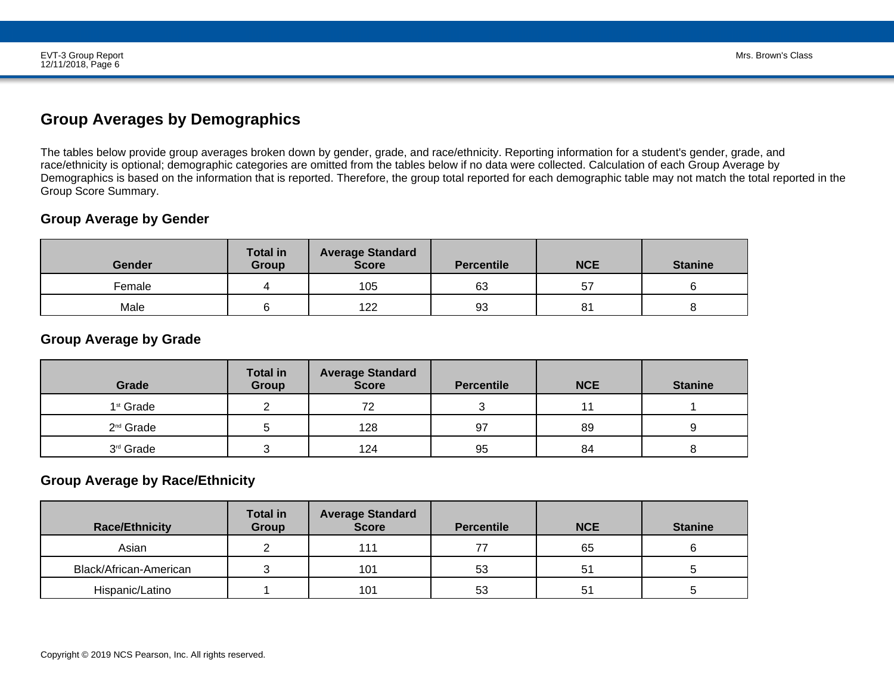# **Group Averages by Demographics**

The tables below provide group averages broken down by gender, grade, and race/ethnicity. Reporting information for a student's gender, grade, and race/ethnicity is optional; demographic categories are omitted from the tables below if no data were collected. Calculation of each Group Average by Demographics is based on the information that is reported. Therefore, the group total reported for each demographic table may not match the total reported in theGroup Score Summary.

## **Group Average by Gender**

| <b>Gender</b> | <b>Total in</b><br>Group | <b>Average Standard</b><br><b>Score</b> | <b>Percentile</b> | <b>NCE</b> | <b>Stanine</b> |
|---------------|--------------------------|-----------------------------------------|-------------------|------------|----------------|
| Female        |                          | 105                                     | 63                | 57         |                |
| Male          |                          | 122                                     | 93                | 81         |                |

### **Group Average by Grade**

| Grade                 | <b>Total in</b><br>Group | <b>Average Standard</b><br><b>Score</b> | <b>Percentile</b> | <b>NCE</b> | <b>Stanine</b> |
|-----------------------|--------------------------|-----------------------------------------|-------------------|------------|----------------|
| 1 <sup>st</sup> Grade |                          | 72                                      |                   |            |                |
| 2 <sup>nd</sup> Grade |                          | 128                                     | 97                | 89         |                |
| 3 <sup>rd</sup> Grade |                          | 124                                     | 95                | 84         |                |

## **Group Average by Race/Ethnicity**

| <b>Race/Ethnicity</b>  | <b>Total in</b><br>Group | <b>Average Standard</b><br><b>Score</b> | <b>Percentile</b> | <b>NCE</b> | <b>Stanine</b> |
|------------------------|--------------------------|-----------------------------------------|-------------------|------------|----------------|
| Asian                  |                          | 111                                     |                   | 65         |                |
| Black/African-American |                          | 101                                     | 53                | 51         |                |
| Hispanic/Latino        |                          | 101                                     | 53                | 51         |                |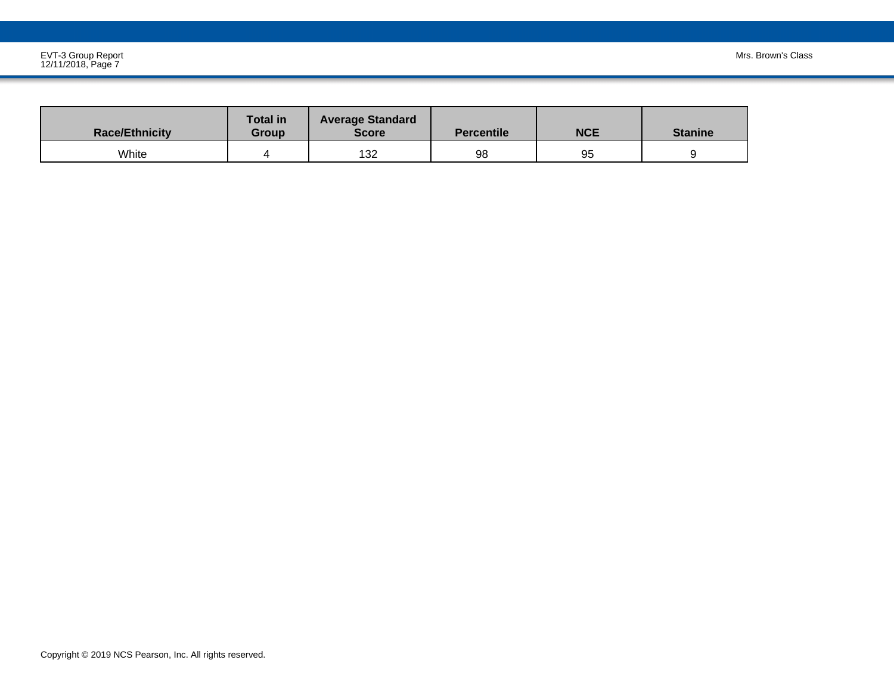| <b>Race/Ethnicity</b> | <b>Total in</b><br>Group | <b>Average Standard</b><br><b>Score</b> | <b>Percentile</b> | <b>NCE</b> | <b>Stanine</b> |
|-----------------------|--------------------------|-----------------------------------------|-------------------|------------|----------------|
| White                 |                          | 132                                     | 98                | 95         |                |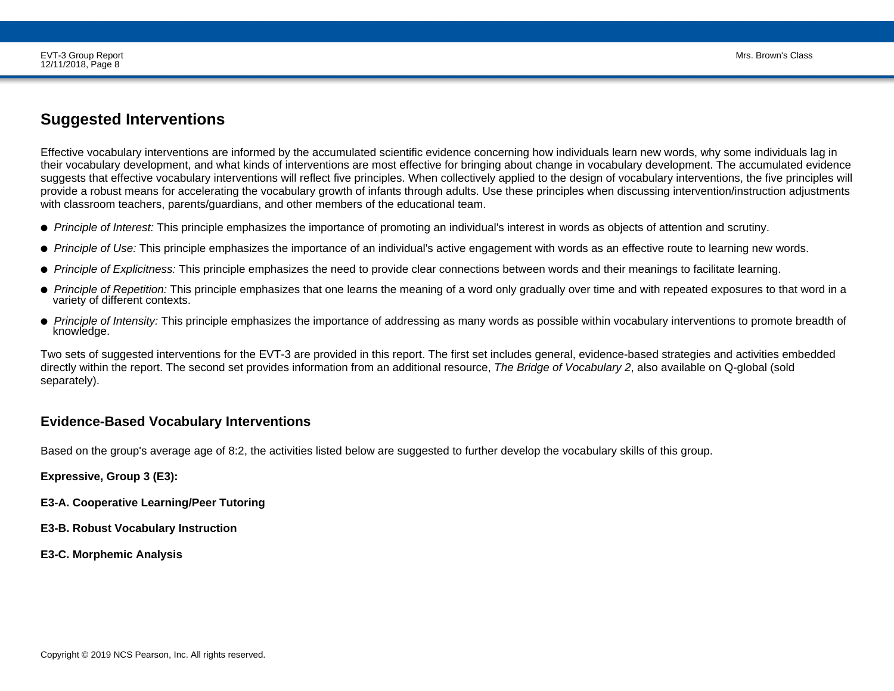## **Suggested Interventions**

Effective vocabulary interventions are informed by the accumulated scientific evidence concerning how individuals learn new words, why some individuals lag in their vocabulary development, and what kinds of interventions are most effective for bringing about change in vocabulary development. The accumulated evidence suggests that effective vocabulary interventions will reflect five principles. When collectively applied to the design of vocabulary interventions, the five principles will provide a robust means for accelerating the vocabulary growth of infants through adults. Use these principles when discussing intervention/instruction adjustmentswith classroom teachers, parents/guardians, and other members of the educational team.

- ● *Principle of Interest:* This principle emphasizes the importance of promoting an individual's interest in words as objects of attention and scrutiny.
- *Principle of Use:* This principle emphasizes the importance of an individual's active engagement with words as an effective route to learning new words.
- *Principle of Explicitness:* This principle emphasizes the need to provide clear connections between words and their meanings to facilitate learning.
- *Principle of Repetition:* This principle emphasizes that one learns the meaning of a word only gradually over time and with repeated exposures to that word in a variety of different contexts.
- *Principle of Intensity:* This principle emphasizes the importance of addressing as many words as possible within vocabulary interventions to promote breadth of knowledge. knowledge. And the contract of the contract of the contract of the contract of the contract of the contract of the contract of the contract of the contract of the contract of the contract of the contract of the contract of

Two sets of suggested interventions for the EVT-3 are provided in this report. The first set includes general, evidence-based strategies and activities embeddeddirectly within the report. The second set provides information from an additional resource, *The Bridge of Vocabulary 2*, also available on Q-global (soldseparately).

### **Evidence-Based Vocabulary Interventions**

Based on the group's average age of 8:2, the activities listed below are suggested to further develop the vocabulary skills of this group.

**Expressive, Group 3 (E3):**

- **E3-A. Cooperative Learning/Peer Tutoring**
- **E3-B. Robust Vocabulary Instruction**
- **E3-C. Morphemic Analysis**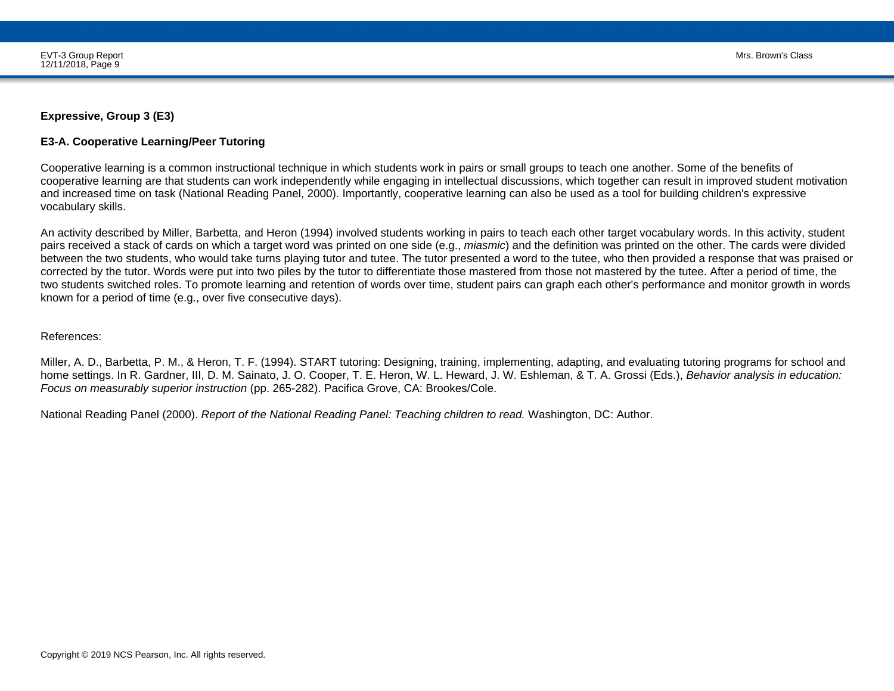#### **Expressive, Group 3 (E3)**

#### **E3-A. Cooperative Learning/Peer Tutoring**

Cooperative learning is a common instructional technique in which students work in pairs or small groups to teach one another. Some of the benefits of cooperative learning are that students can work independently while engaging in intellectual discussions, which together can result in improved student motivationand increased time on task (National Reading Panel, 2000). Importantly, cooperative learning can also be used as a tool for building children's expressivevocabulary skills.

An activity described by Miller, Barbetta, and Heron (1994) involved students working in pairs to teach each other target vocabulary words. In this activity, student pairs received a stack of cards on which a target word was printed on one side (e.g., *miasmic*) and the definition was printed on the other. The cards were divided between the two students, who would take turns playing tutor and tutee. The tutor presented a word to the tutee, who then provided a response that was praised orcorrected by the tutor. Words were put into two piles by the tutor to differentiate those mastered from those not mastered by the tutee. After a period of time, the two students switched roles. To promote learning and retention of words over time, student pairs can graph each other's performance and monitor growth in wordsknown for a period of time (e.g., over five consecutive days).

#### References:

Miller, A. D., Barbetta, P. M., & Heron, T. F. (1994). START tutoring: Designing, training, implementing, adapting, and evaluating tutoring programs for school and home settings. In R. Gardner, III, D. M. Sainato, J. O. Cooper, T. E. Heron, W. L. Heward, J. W. Eshleman, & T. A. Grossi (Eds.), *Behavior analysis in education:Focus on measurably superior instruction* (pp. 265-282). Pacifica Grove, CA: Brookes/Cole.

National Reading Panel (2000). *Report of the National Reading Panel: Teaching children to read.* Washington, DC: Author.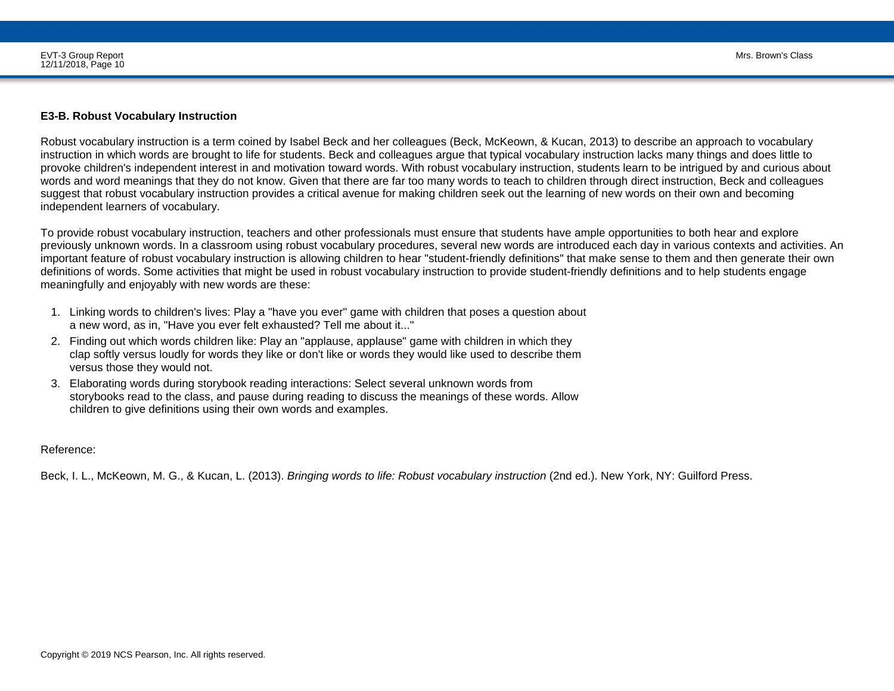#### **E3-B. Robust Vocabulary Instruction**

Robust vocabulary instruction is a term coined by Isabel Beck and her colleagues (Beck, McKeown, & Kucan, 2013) to describe an approach to vocabulary instruction in which words are brought to life for students. Beck and colleagues argue that typical vocabulary instruction lacks many things and does little to provoke children's independent interest in and motivation toward words. With robust vocabulary instruction, students learn to be intrigued by and curious aboutwords and word meanings that they do not know. Given that there are far too many words to teach to children through direct instruction, Beck and colleaguessuggest that robust vocabulary instruction provides a critical avenue for making children seek out the learning of new words on their own and becomingindependent learners of vocabulary.

To provide robust vocabulary instruction, teachers and other professionals must ensure that students have ample opportunities to both hear and explore previously unknown words. In a classroom using robust vocabulary procedures, several new words are introduced each day in various contexts and activities. An important feature of robust vocabulary instruction is allowing children to hear "student-friendly definitions" that make sense to them and then generate their owndefinitions of words. Some activities that might be used in robust vocabulary instruction to provide student-friendly definitions and to help students engagemeaningfully and enjoyably with new words are these:

- 1. Linking words to children's lives: Play a "have you ever" game with children that poses a question about a new word, as in, "Have you ever felt exhausted? Tell me about it..."
- 2. Finding out which words children like: Play an "applause, applause" game with children in which they clap softly versus loudly for words they like or don't like or words they would like used to describe themversus those they would not.
- 3. Elaborating words during storybook reading interactions: Select several unknown words from storybooks read to the class, and pause during reading to discuss the meanings of these words. Allowchildren to give definitions using their own words and examples.

Reference:

Beck, I. L., McKeown, M. G., & Kucan, L. (2013). *Bringing words to life: Robust vocabulary instruction* (2nd ed.). New York, NY: Guilford Press.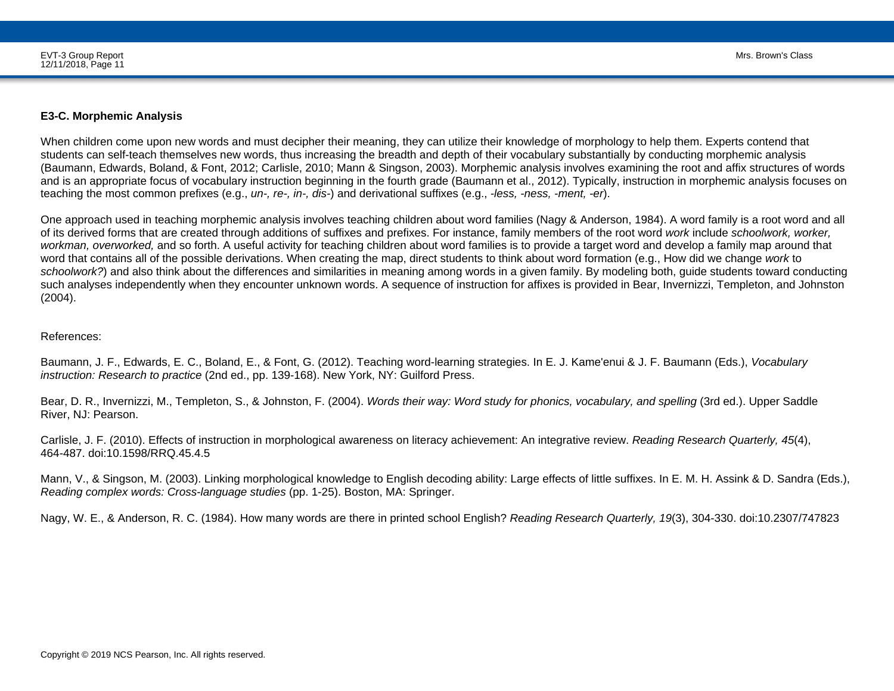#### **E3-C. Morphemic Analysis**

When children come upon new words and must decipher their meaning, they can utilize their knowledge of morphology to help them. Experts contend that students can self-teach themselves new words, thus increasing the breadth and depth of their vocabulary substantially by conducting morphemic analysis (Baumann, Edwards, Boland, & Font, 2012; Carlisle, 2010; Mann & Singson, 2003). Morphemic analysis involves examining the root and affix structures of words and is an appropriate focus of vocabulary instruction beginning in the fourth grade (Baumann et al., 2012). Typically, instruction in morphemic analysis focuses onteaching the most common prefixes (e.g., *un-, re-, in-, dis-*) and derivational suffixes (e.g., *-less, -ness, -ment, -er*).

One approach used in teaching morphemic analysis involves teaching children about word families (Nagy & Anderson, 1984). A word family is a root word and allof its derived forms that are created through additions of suffixes and prefixes. For instance, family members of the root word *work* include *schoolwork, worker, workman, overworked,* and so forth. A useful activity for teaching children about word families is to provide a target word and develop a family map around thatword that contains all of the possible derivations. When creating the map, direct students to think about word formation (e.g., How did we change *work* to *schoolwork?*) and also think about the differences and similarities in meaning among words in a given family. By modeling both, guide students toward conducting such analyses independently when they encounter unknown words. A sequence of instruction for affixes is provided in Bear, Invernizzi, Templeton, and Johnston(2004).

#### References:

Baumann, J. F., Edwards, E. C., Boland, E., & Font, G. (2012). Teaching word-learning strategies. In E. J. Kame'enui & J. F. Baumann (Eds.), *Vocabularyinstruction: Research to practice* (2nd ed., pp. 139-168). New York, NY: Guilford Press.

Bear, D. R., Invernizzi, M., Templeton, S., & Johnston, F. (2004). *Words their way: Word study for phonics, vocabulary, and spelling* (3rd ed.). Upper SaddleRiver, NJ: Pearson.

Carlisle, J. F. (2010). Effects of instruction in morphological awareness on literacy achievement: An integrative review. *Reading Research Quarterly, 45*(4),464-487. doi:10.1598/RRQ.45.4.5

Mann, V., & Singson, M. (2003). Linking morphological knowledge to English decoding ability: Large effects of little suffixes. In E. M. H. Assink & D. Sandra (Eds.),*Reading complex words: Cross-language studies* (pp. 1-25). Boston, MA: Springer.

Nagy, W. E., & Anderson, R. C. (1984). How many words are there in printed school English? *Reading Research Quarterly, 19*(3), 304-330. doi:10.2307/747823